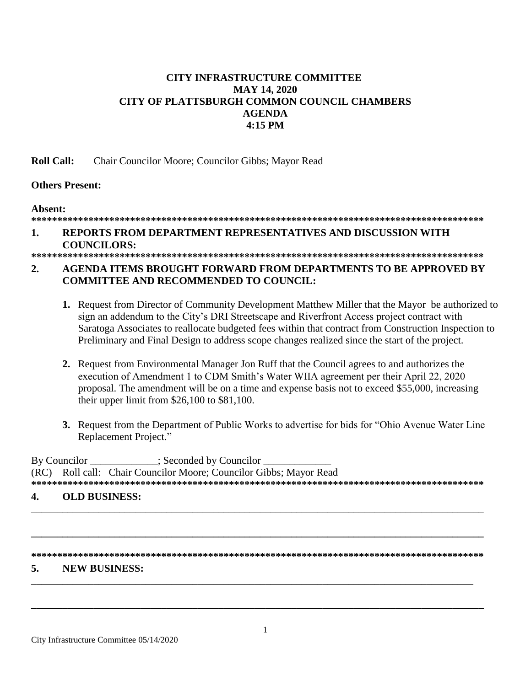# **CITY INFRASTRUCTURE COMMITTEE MAY 14, 2020** CITY OF PLATTSBURGH COMMON COUNCIL CHAMBERS **AGENDA** 4:15 PM

**Roll Call:** Chair Councilor Moore; Councilor Gibbs; Mayor Read

## **Others Present:**

Absent:

# 

#### 1. REPORTS FROM DEPARTMENT REPRESENTATIVES AND DISCUSSION WITH **COUNCILORS:**

## 

### $\overline{2}$ . AGENDA ITEMS BROUGHT FORWARD FROM DEPARTMENTS TO BE APPROVED BY **COMMITTEE AND RECOMMENDED TO COUNCIL:**

- 1. Request from Director of Community Development Matthew Miller that the Mayor be authorized to sign an addendum to the City's DRI Streetscape and Riverfront Access project contract with Saratoga Associates to reallocate budgeted fees within that contract from Construction Inspection to Preliminary and Final Design to address scope changes realized since the start of the project.
- 2. Request from Environmental Manager Jon Ruff that the Council agrees to and authorizes the execution of Amendment 1 to CDM Smith's Water WIIA agreement per their April 22, 2020 proposal. The amendment will be on a time and expense basis not to exceed \$55,000, increasing their upper limit from  $$26,100$  to  $$81,100$ .
- 3. Request from the Department of Public Works to advertise for bids for "Ohio Avenue Water Line" Replacement Project."

By Councilor \_\_\_\_\_\_\_\_\_\_\_\_\_; Seconded by Councilor \_\_\_\_\_\_ Roll call: Chair Councilor Moore; Councilor Gibbs; Mayor Read  $(RC)$ 

#### 4. **OLD BUSINESS:**

## 

#### 5. **NEW BUSINESS:**